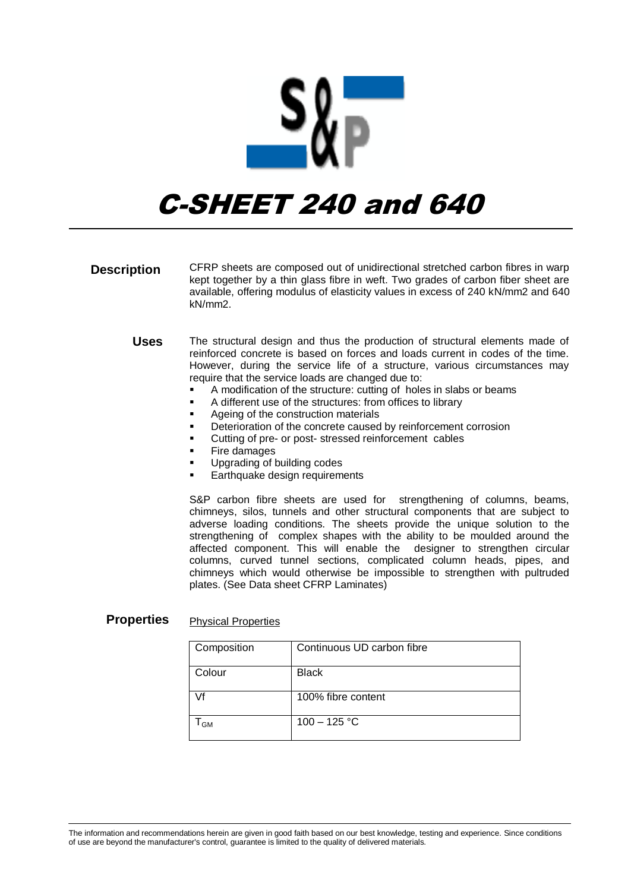

## C-SHEET 240 and 640

- CFRP sheets are composed out of unidirectional stretched carbon fibres in warp kept together by a thin glass fibre in weft. Two grades of carbon fiber sheet are available, offering modulus of elasticity values in excess of 240 kN/mm2 and 640 kN/mm2. **Description**
	- The structural design and thus the production of structural elements made of reinforced concrete is based on forces and loads current in codes of the time. However, during the service life of a structure, various circumstances may require that the service loads are changed due to: **Uses**
		- A modification of the structure: cutting of holes in slabs or beams
		- A different use of the structures: from offices to library
		- Ageing of the construction materials
		- Deterioration of the concrete caused by reinforcement corrosion
		- Cutting of pre- or post- stressed reinforcement cables
		- Fire damages
		- Upgrading of building codes
		- Earthquake design requirements

S&P carbon fibre sheets are used for strengthening of columns, beams, chimneys, silos, tunnels and other structural components that are subject to adverse loading conditions. The sheets provide the unique solution to the strengthening of complex shapes with the ability to be moulded around the affected component. This will enable the designer to strengthen circular columns, curved tunnel sections, complicated column heads, pipes, and chimneys which would otherwise be impossible to strengthen with pultruded plates. (See Data sheet CFRP Laminates)

## Physical Properties **Properties**

| Composition | Continuous UD carbon fibre |
|-------------|----------------------------|
| Colour      | <b>Black</b>               |
| Vf          | 100% fibre content         |
| <b>GM</b>   | $100 - 125 °C$             |

The information and recommendations herein are given in good faith based on our best knowledge, testing and experience. Since conditions of use are beyond the manufacturer's control, guarantee is limited to the quality of delivered materials.